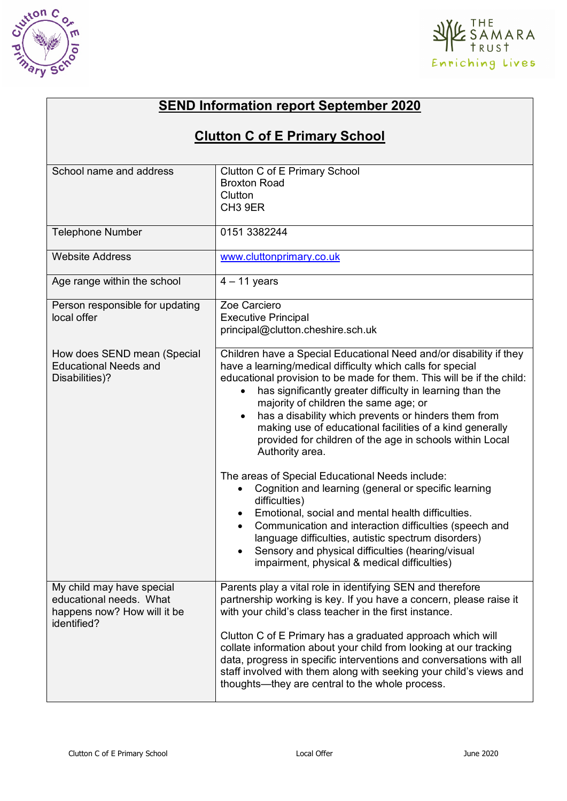



## **SEND Information report September 2020**

## **Clutton C of E Primary School**

| School name and address                                                                            | Clutton C of E Primary School<br><b>Broxton Road</b><br>Clutton<br>CH <sub>3</sub> 9ER                                                                                                                                                                                                                                                                                                                                                                                                                                                                                                                                                                                                                                                                                                                                                                                                                                                 |
|----------------------------------------------------------------------------------------------------|----------------------------------------------------------------------------------------------------------------------------------------------------------------------------------------------------------------------------------------------------------------------------------------------------------------------------------------------------------------------------------------------------------------------------------------------------------------------------------------------------------------------------------------------------------------------------------------------------------------------------------------------------------------------------------------------------------------------------------------------------------------------------------------------------------------------------------------------------------------------------------------------------------------------------------------|
| <b>Telephone Number</b>                                                                            | 0151 3382244                                                                                                                                                                                                                                                                                                                                                                                                                                                                                                                                                                                                                                                                                                                                                                                                                                                                                                                           |
| <b>Website Address</b>                                                                             | www.cluttonprimary.co.uk                                                                                                                                                                                                                                                                                                                                                                                                                                                                                                                                                                                                                                                                                                                                                                                                                                                                                                               |
| Age range within the school                                                                        | $4 - 11$ years                                                                                                                                                                                                                                                                                                                                                                                                                                                                                                                                                                                                                                                                                                                                                                                                                                                                                                                         |
| Person responsible for updating<br>local offer                                                     | Zoe Carciero<br><b>Executive Principal</b><br>principal@clutton.cheshire.sch.uk                                                                                                                                                                                                                                                                                                                                                                                                                                                                                                                                                                                                                                                                                                                                                                                                                                                        |
| How does SEND mean (Special<br><b>Educational Needs and</b><br>Disabilities)?                      | Children have a Special Educational Need and/or disability if they<br>have a learning/medical difficulty which calls for special<br>educational provision to be made for them. This will be if the child:<br>has significantly greater difficulty in learning than the<br>$\bullet$<br>majority of children the same age; or<br>has a disability which prevents or hinders them from<br>making use of educational facilities of a kind generally<br>provided for children of the age in schools within Local<br>Authority area.<br>The areas of Special Educational Needs include:<br>Cognition and learning (general or specific learning<br>difficulties)<br>Emotional, social and mental health difficulties.<br>Communication and interaction difficulties (speech and<br>language difficulties, autistic spectrum disorders)<br>Sensory and physical difficulties (hearing/visual<br>impairment, physical & medical difficulties) |
| My child may have special<br>educational needs. What<br>happens now? How will it be<br>identified? | Parents play a vital role in identifying SEN and therefore<br>partnership working is key. If you have a concern, please raise it<br>with your child's class teacher in the first instance.<br>Clutton C of E Primary has a graduated approach which will<br>collate information about your child from looking at our tracking<br>data, progress in specific interventions and conversations with all<br>staff involved with them along with seeking your child's views and<br>thoughts—they are central to the whole process.                                                                                                                                                                                                                                                                                                                                                                                                          |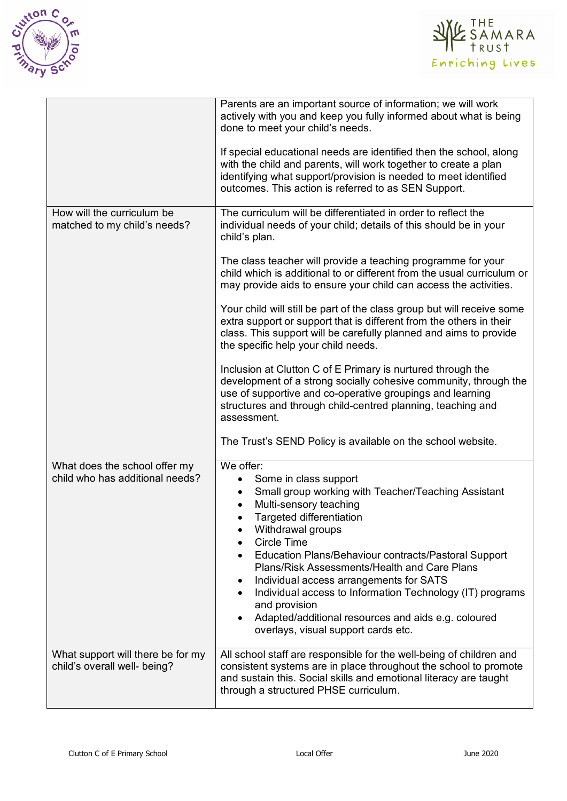



|                                                                   | Parents are an important source of information; we will work<br>actively with you and keep you fully informed about what is being<br>done to meet your child's needs.<br>If special educational needs are identified then the school, along<br>with the child and parents, will work together to create a plan<br>identifying what support/provision is needed to meet identified<br>outcomes. This action is referred to as SEN Support.                                                                                                                                                                                                                                                                                                                                                                                                                                                                                                                                   |
|-------------------------------------------------------------------|-----------------------------------------------------------------------------------------------------------------------------------------------------------------------------------------------------------------------------------------------------------------------------------------------------------------------------------------------------------------------------------------------------------------------------------------------------------------------------------------------------------------------------------------------------------------------------------------------------------------------------------------------------------------------------------------------------------------------------------------------------------------------------------------------------------------------------------------------------------------------------------------------------------------------------------------------------------------------------|
| How will the curriculum be<br>matched to my child's needs?        | The curriculum will be differentiated in order to reflect the<br>individual needs of your child; details of this should be in your<br>child's plan.<br>The class teacher will provide a teaching programme for your<br>child which is additional to or different from the usual curriculum or<br>may provide aids to ensure your child can access the activities.<br>Your child will still be part of the class group but will receive some<br>extra support or support that is different from the others in their<br>class. This support will be carefully planned and aims to provide<br>the specific help your child needs.<br>Inclusion at Clutton C of E Primary is nurtured through the<br>development of a strong socially cohesive community, through the<br>use of supportive and co-operative groupings and learning<br>structures and through child-centred planning, teaching and<br>assessment.<br>The Trust's SEND Policy is available on the school website. |
| What does the school offer my<br>child who has additional needs?  | We offer:<br>Some in class support<br>Small group working with Teacher/Teaching Assistant<br>Multi-sensory teaching<br><b>Targeted differentiation</b><br>Withdrawal groups<br><b>Circle Time</b><br>Education Plans/Behaviour contracts/Pastoral Support<br>Plans/Risk Assessments/Health and Care Plans<br>Individual access arrangements for SATS<br>Individual access to Information Technology (IT) programs<br>and provision<br>Adapted/additional resources and aids e.g. coloured<br>overlays, visual support cards etc.                                                                                                                                                                                                                                                                                                                                                                                                                                            |
| What support will there be for my<br>child's overall well- being? | All school staff are responsible for the well-being of children and<br>consistent systems are in place throughout the school to promote<br>and sustain this. Social skills and emotional literacy are taught<br>through a structured PHSE curriculum.                                                                                                                                                                                                                                                                                                                                                                                                                                                                                                                                                                                                                                                                                                                       |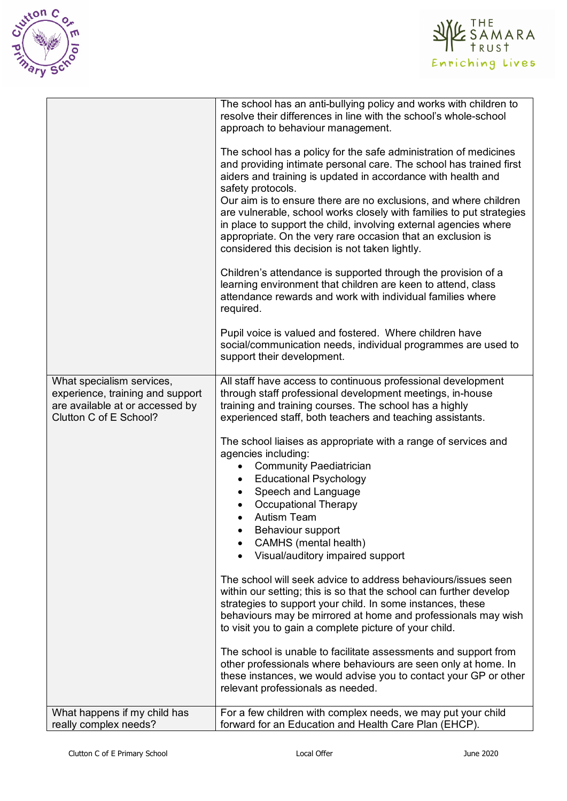



|                                                                                                                            | The school has an anti-bullying policy and works with children to<br>resolve their differences in line with the school's whole-school<br>approach to behaviour management.                                                                                                                                                                                                                                                                                                                                                                                   |
|----------------------------------------------------------------------------------------------------------------------------|--------------------------------------------------------------------------------------------------------------------------------------------------------------------------------------------------------------------------------------------------------------------------------------------------------------------------------------------------------------------------------------------------------------------------------------------------------------------------------------------------------------------------------------------------------------|
|                                                                                                                            | The school has a policy for the safe administration of medicines<br>and providing intimate personal care. The school has trained first<br>aiders and training is updated in accordance with health and<br>safety protocols.<br>Our aim is to ensure there are no exclusions, and where children<br>are vulnerable, school works closely with families to put strategies<br>in place to support the child, involving external agencies where<br>appropriate. On the very rare occasion that an exclusion is<br>considered this decision is not taken lightly. |
|                                                                                                                            | Children's attendance is supported through the provision of a<br>learning environment that children are keen to attend, class<br>attendance rewards and work with individual families where<br>required.                                                                                                                                                                                                                                                                                                                                                     |
|                                                                                                                            | Pupil voice is valued and fostered. Where children have<br>social/communication needs, individual programmes are used to<br>support their development.                                                                                                                                                                                                                                                                                                                                                                                                       |
| What specialism services,<br>experience, training and support<br>are available at or accessed by<br>Clutton C of E School? | All staff have access to continuous professional development<br>through staff professional development meetings, in-house<br>training and training courses. The school has a highly<br>experienced staff, both teachers and teaching assistants.                                                                                                                                                                                                                                                                                                             |
|                                                                                                                            | The school liaises as appropriate with a range of services and<br>agencies including:<br><b>Community Paediatrician</b><br>$\bullet$<br><b>Educational Psychology</b><br>$\bullet$<br>Speech and Language<br><b>Occupational Therapy</b><br><b>Autism Team</b><br>Behaviour support<br>CAMHS (mental health)<br>Visual/auditory impaired support                                                                                                                                                                                                             |
|                                                                                                                            | The school will seek advice to address behaviours/issues seen<br>within our setting; this is so that the school can further develop<br>strategies to support your child. In some instances, these<br>behaviours may be mirrored at home and professionals may wish<br>to visit you to gain a complete picture of your child.                                                                                                                                                                                                                                 |
|                                                                                                                            | The school is unable to facilitate assessments and support from<br>other professionals where behaviours are seen only at home. In<br>these instances, we would advise you to contact your GP or other<br>relevant professionals as needed.                                                                                                                                                                                                                                                                                                                   |
| What happens if my child has<br>really complex needs?                                                                      | For a few children with complex needs, we may put your child<br>forward for an Education and Health Care Plan (EHCP).                                                                                                                                                                                                                                                                                                                                                                                                                                        |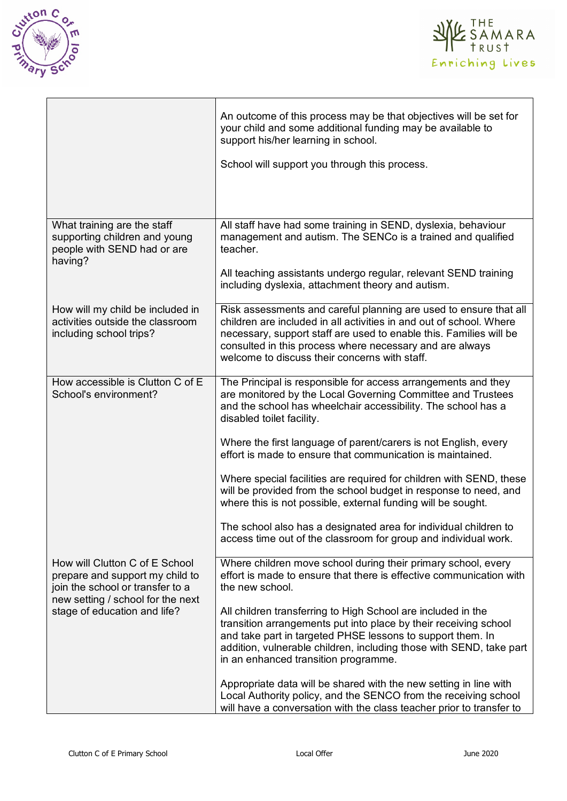



|                                                                                                                                                                            | An outcome of this process may be that objectives will be set for<br>your child and some additional funding may be available to<br>support his/her learning in school.                                                                                                                                                      |
|----------------------------------------------------------------------------------------------------------------------------------------------------------------------------|-----------------------------------------------------------------------------------------------------------------------------------------------------------------------------------------------------------------------------------------------------------------------------------------------------------------------------|
|                                                                                                                                                                            | School will support you through this process.                                                                                                                                                                                                                                                                               |
|                                                                                                                                                                            |                                                                                                                                                                                                                                                                                                                             |
| What training are the staff<br>supporting children and young<br>people with SEND had or are<br>having?                                                                     | All staff have had some training in SEND, dyslexia, behaviour<br>management and autism. The SENCo is a trained and qualified<br>teacher.                                                                                                                                                                                    |
|                                                                                                                                                                            | All teaching assistants undergo regular, relevant SEND training<br>including dyslexia, attachment theory and autism.                                                                                                                                                                                                        |
| How will my child be included in<br>activities outside the classroom<br>including school trips?                                                                            | Risk assessments and careful planning are used to ensure that all<br>children are included in all activities in and out of school. Where<br>necessary, support staff are used to enable this. Families will be<br>consulted in this process where necessary and are always<br>welcome to discuss their concerns with staff. |
| How accessible is Clutton C of E<br>School's environment?                                                                                                                  | The Principal is responsible for access arrangements and they<br>are monitored by the Local Governing Committee and Trustees<br>and the school has wheelchair accessibility. The school has a<br>disabled toilet facility.                                                                                                  |
|                                                                                                                                                                            | Where the first language of parent/carers is not English, every<br>effort is made to ensure that communication is maintained.                                                                                                                                                                                               |
|                                                                                                                                                                            | Where special facilities are required for children with SEND, these<br>will be provided from the school budget in response to need, and<br>where this is not possible, external funding will be sought.                                                                                                                     |
|                                                                                                                                                                            | The school also has a designated area for individual children to<br>access time out of the classroom for group and individual work.                                                                                                                                                                                         |
| How will Clutton C of E School<br>prepare and support my child to<br>join the school or transfer to a<br>new setting / school for the next<br>stage of education and life? | Where children move school during their primary school, every<br>effort is made to ensure that there is effective communication with<br>the new school.                                                                                                                                                                     |
|                                                                                                                                                                            | All children transferring to High School are included in the<br>transition arrangements put into place by their receiving school<br>and take part in targeted PHSE lessons to support them. In<br>addition, vulnerable children, including those with SEND, take part<br>in an enhanced transition programme.               |
|                                                                                                                                                                            | Appropriate data will be shared with the new setting in line with<br>Local Authority policy, and the SENCO from the receiving school<br>will have a conversation with the class teacher prior to transfer to                                                                                                                |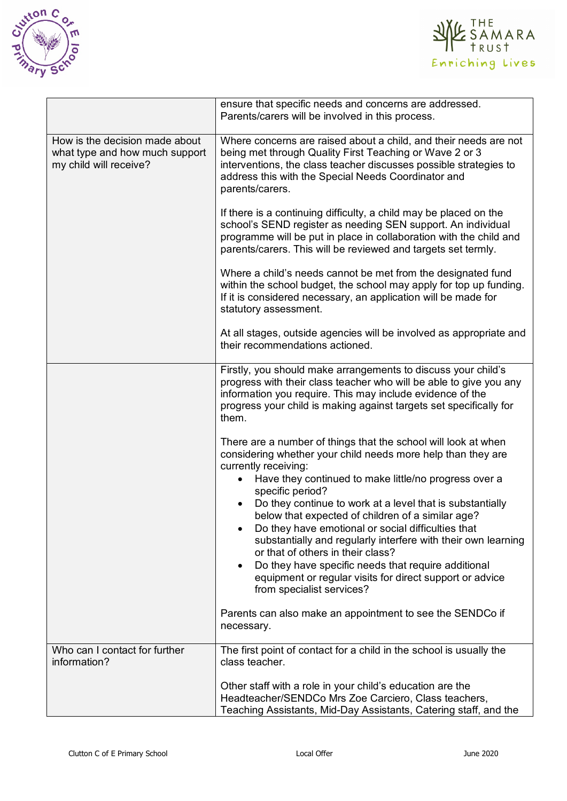



|                                                                                            | ensure that specific needs and concerns are addressed.<br>Parents/carers will be involved in this process.                                                                                                                                                                                                                                                                                                                                                                                                                                                                                                                                                                                                                                                |
|--------------------------------------------------------------------------------------------|-----------------------------------------------------------------------------------------------------------------------------------------------------------------------------------------------------------------------------------------------------------------------------------------------------------------------------------------------------------------------------------------------------------------------------------------------------------------------------------------------------------------------------------------------------------------------------------------------------------------------------------------------------------------------------------------------------------------------------------------------------------|
| How is the decision made about<br>what type and how much support<br>my child will receive? | Where concerns are raised about a child, and their needs are not<br>being met through Quality First Teaching or Wave 2 or 3<br>interventions, the class teacher discusses possible strategies to<br>address this with the Special Needs Coordinator and<br>parents/carers.                                                                                                                                                                                                                                                                                                                                                                                                                                                                                |
|                                                                                            | If there is a continuing difficulty, a child may be placed on the<br>school's SEND register as needing SEN support. An individual<br>programme will be put in place in collaboration with the child and<br>parents/carers. This will be reviewed and targets set termly.                                                                                                                                                                                                                                                                                                                                                                                                                                                                                  |
|                                                                                            | Where a child's needs cannot be met from the designated fund<br>within the school budget, the school may apply for top up funding.<br>If it is considered necessary, an application will be made for<br>statutory assessment.                                                                                                                                                                                                                                                                                                                                                                                                                                                                                                                             |
|                                                                                            | At all stages, outside agencies will be involved as appropriate and<br>their recommendations actioned.                                                                                                                                                                                                                                                                                                                                                                                                                                                                                                                                                                                                                                                    |
|                                                                                            | Firstly, you should make arrangements to discuss your child's<br>progress with their class teacher who will be able to give you any<br>information you require. This may include evidence of the<br>progress your child is making against targets set specifically for<br>them.                                                                                                                                                                                                                                                                                                                                                                                                                                                                           |
|                                                                                            | There are a number of things that the school will look at when<br>considering whether your child needs more help than they are<br>currently receiving:<br>Have they continued to make little/no progress over a<br>specific period?<br>Do they continue to work at a level that is substantially<br>below that expected of children of a similar age?<br>Do they have emotional or social difficulties that<br>substantially and regularly interfere with their own learning<br>or that of others in their class?<br>Do they have specific needs that require additional<br>$\bullet$<br>equipment or regular visits for direct support or advice<br>from specialist services?<br>Parents can also make an appointment to see the SENDCo if<br>necessary. |
| Who can I contact for further                                                              | The first point of contact for a child in the school is usually the                                                                                                                                                                                                                                                                                                                                                                                                                                                                                                                                                                                                                                                                                       |
| information?                                                                               | class teacher.<br>Other staff with a role in your child's education are the<br>Headteacher/SENDCo Mrs Zoe Carciero, Class teachers,<br>Teaching Assistants, Mid-Day Assistants, Catering staff, and the                                                                                                                                                                                                                                                                                                                                                                                                                                                                                                                                                   |